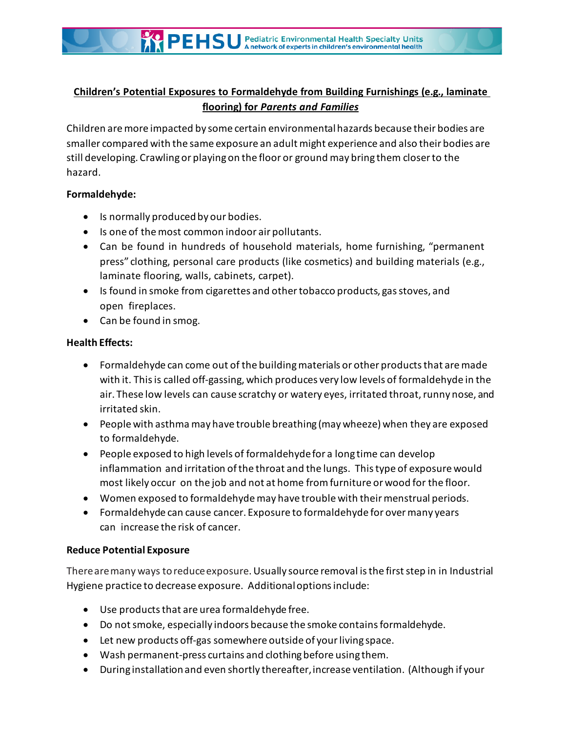# **Children's Potential Exposures to Formaldehyde from Building Furnishings (e.g., laminate flooring) for** *Parents and Families*

Children are more impacted by some certain environmentalhazards because their bodies are smaller compared with the same exposure an adult might experience and also their bodies are still developing. Crawlingor playingon the floor or ground may bring them closer to the hazard.

## **Formaldehyde:**

- Is normally produced by our bodies.
- Is one of the most common indoor air pollutants.
- Can be found in hundreds of household materials, home furnishing, "permanent press" clothing, personal care products (like cosmetics) and building materials (e.g., laminate flooring, walls, cabinets, carpet).
- Is found in smoke from cigarettes and other tobacco products, gas stoves, and open fireplaces.
- $\bullet$  Can be found in smog.

# **Health Effects:**

- Formaldehyde can come out of the building materials or other products that are made with it. Thisis called off-gassing, which produces very low levels of formaldehyde in the air. These low levels can cause scratchy or watery eyes, irritated throat, runny nose, and irritated skin.
- People with asthma may have trouble breathing (may wheeze) when they are exposed to formaldehyde.
- People exposed to high levels of formaldehyde for a long time can develop inflammation and irritation ofthe throat and the lungs. Thistype of exposure would most likely occur on the job and not at home fromfurniture or wood for the floor.
- Women exposed to formaldehyde may have trouble with their menstrual periods.
- Formaldehyde can cause cancer. Exposure to formaldehyde for over many years can increase the risk of cancer.

# **Reduce Potential Exposure**

Therearemany ways toreduceexposure.Usually source removal is the first step in in Industrial Hygiene practice to decrease exposure. Additional options include:

- Use products that are urea formaldehyde free.
- Do not smoke, especially indoors because the smoke contains formaldehyde.
- Let new products off-gas somewhere outside of your living space.
- Wash permanent-press curtains and clothing before using them.
- During installation and even shortly thereafter, increase ventilation. (Although if your